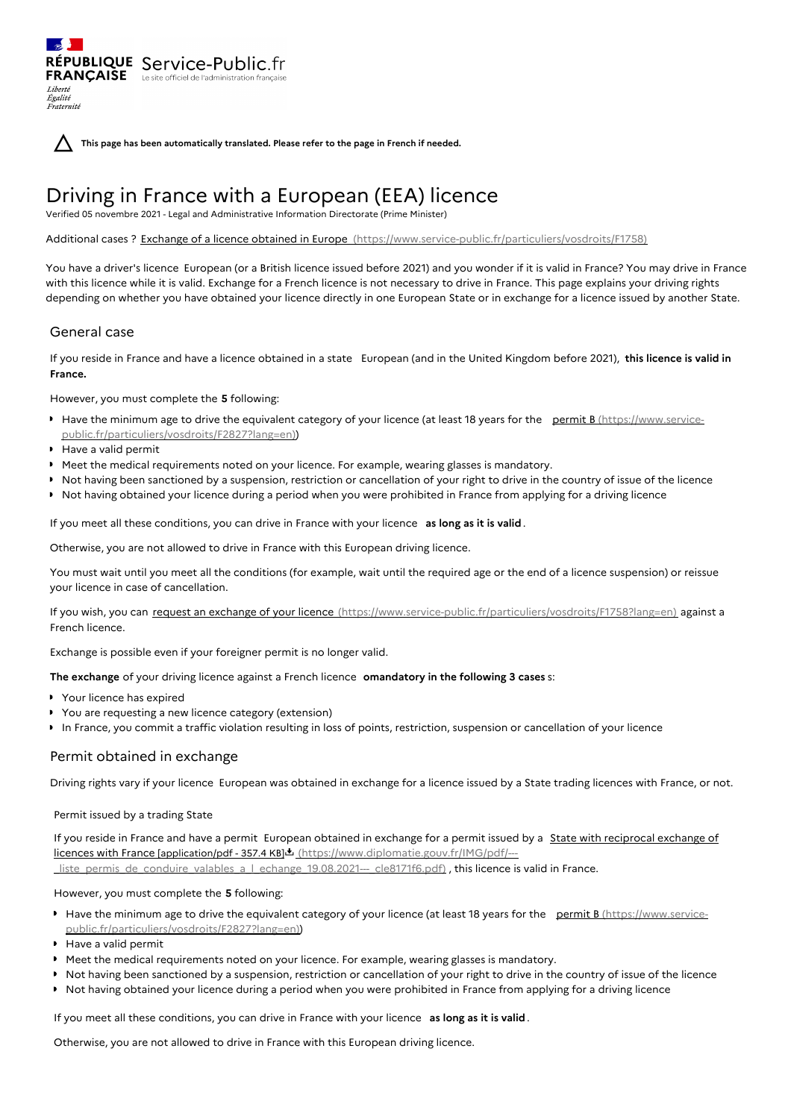**This page has been automatically translated. Please refer to the page in French if needed.**

# Driving in France with a European (EEA) licence

Verified 05 novembre 2021 - Legal and Administrative Information Directorate (Prime Minister)

Additional cases ? Exchange of a licence obtained in Europe [\(https://www.service-public.fr/particuliers/vosdroits/F1758\)](https://www.service-public.fr/particuliers/vosdroits/F1758)

You have a driver's licence European (or a British licence issued before 2021) and you wonder if it is valid in France? You may drive in France with this licence while it is valid. Exchange for a French licence is not necessary to drive in France. This page explains your driving rights depending on whether you have obtained your licence directly in one European State or in exchange for a licence issued by another State.

## General case

Liberté Égalité Fraternité

If you reside in France and have a licence obtained in a state European (and in the United Kingdom before 2021), **this licence is valid in France.**

However, you must complete the **5** following:

RÉPUBLIQUE Service-Public.fr **FRANÇAISE** Le site officiel de l'administration fran

- Have the minimum age to drive the equivalent category of your licence (at least 18 years for the permit B (https://www.service[public.fr/particuliers/vosdroits/F2827?lang=en\)\)](https://www.service-public.fr/particuliers/vosdroits/F2827?lang=en)
- Have a valid permit
- Meet the medical requirements noted on your licence. For example, wearing glasses is mandatory.
- ▶ Not having been sanctioned by a suspension, restriction or cancellation of your right to drive in the country of issue of the licence
- ▶ Not having obtained your licence during a period when you were prohibited in France from applying for a driving licence

If you meet all these conditions, you can drive in France with your licence **as long as it is valid**.

Otherwise, you are not allowed to drive in France with this European driving licence.

You must wait until you meet all the conditions (for example, wait until the required age or the end of a licence suspension) or reissue your licence in case of cancellation.

If you wish, you can request an exchange of your licence [\(https://www.service-public.fr/particuliers/vosdroits/F1758?lang=en\)](https://www.service-public.fr/particuliers/vosdroits/F1758?lang=en) against a French licence.

Exchange is possible even if your foreigner permit is no longer valid.

**The exchange** of your driving licence against a French licence **omandatory in the following 3 cases** s:

- Your licence has expired
- You are requesting a new licence category (extension)
- In France, you commit a traffic violation resulting in loss of points, restriction, suspension or cancellation of your licence

### Permit obtained in exchange

Driving rights vary if your licence European was obtained in exchange for a licence issued by a State trading licences with France, or not.

Permit issued by a trading State

If you reside in France and have a permit European obtained in exchange for a permit issued by a State with reciprocal exchange of licences with France [application/pdf - 357.4 KB] (https://www.diplomatie.gouv.fr/IMG/pdf/-- liste permis de conduire valables a I echange 19.08.2021-- cle8171f6.pdf) , this licence is valid in France.

However, you must complete the **5** following:

- Have the minimum age to drive the equivalent category of your licence (at least 18 years for the permit B (https://www.service[public.fr/particuliers/vosdroits/F2827?lang=en\)\)](https://www.service-public.fr/particuliers/vosdroits/F2827?lang=en)
- ▶ Have a valid permit
- Meet the medical requirements noted on your licence. For example, wearing glasses is mandatory.
- Not having been sanctioned by a suspension, restriction or cancellation of your right to drive in the country of issue of the licence
- Not having obtained your licence during a period when you were prohibited in France from applying for a driving licence

If you meet all these conditions, you can drive in France with your licence **as long as it is valid**.

Otherwise, you are not allowed to drive in France with this European driving licence.